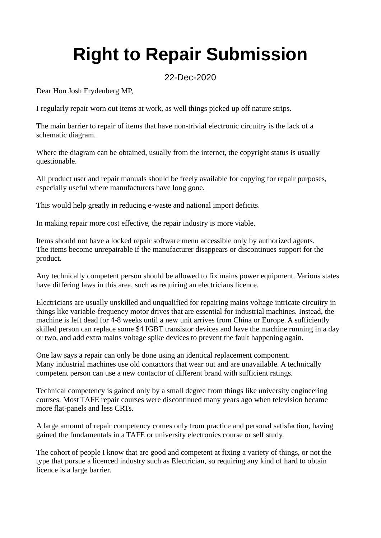## **Right to Repair Submission**

## 22-Dec-2020

Dear Hon Josh Frydenberg MP,

I regularly repair worn out items at work, as well things picked up off nature strips.

The main barrier to repair of items that have non-trivial electronic circuitry is the lack of a schematic diagram.

Where the diagram can be obtained, usually from the internet, the copyright status is usually questionable.

All product user and repair manuals should be freely available for copying for repair purposes, especially useful where manufacturers have long gone.

This would help greatly in reducing e-waste and national import deficits.

In making repair more cost effective, the repair industry is more viable.

Items should not have a locked repair software menu accessible only by authorized agents. The items become unrepairable if the manufacturer disappears or discontinues support for the product.

Any technically competent person should be allowed to fix mains power equipment. Various states have differing laws in this area, such as requiring an electricians licence.

Electricians are usually unskilled and unqualified for repairing mains voltage intricate circuitry in things like variable-frequency motor drives that are essential for industrial machines. Instead, the machine is left dead for 4-8 weeks until a new unit arrives from China or Europe. A sufficiently skilled person can replace some \$4 IGBT transistor devices and have the machine running in a day or two, and add extra mains voltage spike devices to prevent the fault happening again.

One law says a repair can only be done using an identical replacement component. Many industrial machines use old contactors that wear out and are unavailable. A technically competent person can use a new contactor of different brand with sufficient ratings.

Technical competency is gained only by a small degree from things like university engineering courses. Most TAFE repair courses were discontinued many years ago when television became more flat-panels and less CRTs.

A large amount of repair competency comes only from practice and personal satisfaction, having gained the fundamentals in a TAFE or university electronics course or self study.

The cohort of people I know that are good and competent at fixing a variety of things, or not the type that pursue a licenced industry such as Electrician, so requiring any kind of hard to obtain licence is a large barrier.